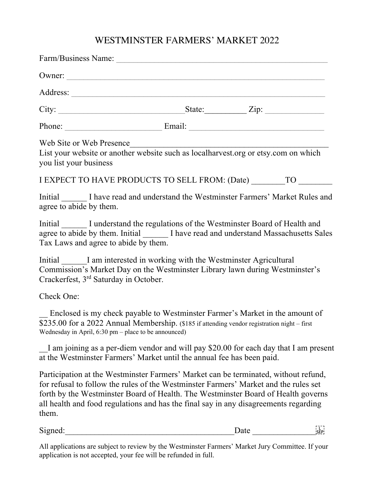## WESTMINSTER FARMERS' MARKET 2022

| Web Site or Web Presence<br>you list your business   | List your website or another website such as localharvest.org or etsy.com on which                                                                                                                                                                                                                                                                       |      |                     |
|------------------------------------------------------|----------------------------------------------------------------------------------------------------------------------------------------------------------------------------------------------------------------------------------------------------------------------------------------------------------------------------------------------------------|------|---------------------|
|                                                      | I EXPECT TO HAVE PRODUCTS TO SELL FROM: (Date) TO                                                                                                                                                                                                                                                                                                        |      |                     |
| agree to abide by them.                              | Initial I have read and understand the Westminster Farmers' Market Rules and                                                                                                                                                                                                                                                                             |      |                     |
| Tax Laws and agree to abide by them.                 | Initial I understand the regulations of the Westminster Board of Health and<br>agree to abide by them. Initial ________ I have read and understand Massachusetts Sales                                                                                                                                                                                   |      |                     |
| Crackerfest, 3 <sup>rd</sup> Saturday in October.    | Initial I am interested in working with the Westminster Agricultural<br>Commission's Market Day on the Westminster Library lawn during Westminster's                                                                                                                                                                                                     |      |                     |
| Check One:                                           |                                                                                                                                                                                                                                                                                                                                                          |      |                     |
| Wednesday in April, 6:30 pm – place to be announced) | Enclosed is my check payable to Westminster Farmer's Market in the amount of<br>\$235.00 for a 2022 Annual Membership. (\$185 if attending vendor registration night – first                                                                                                                                                                             |      |                     |
|                                                      | I am joining as a per-diem vendor and will pay \$20.00 for each day that I am present<br>at the Westminster Farmers' Market until the annual fee has been paid.                                                                                                                                                                                          |      |                     |
| them.                                                | Participation at the Westminster Farmers' Market can be terminated, without refund,<br>for refusal to follow the rules of the Westminster Farmers' Market and the rules set<br>forth by the Westminster Board of Health. The Westminster Board of Health governs<br>all health and food regulations and has the final say in any disagreements regarding |      |                     |
| Signed:                                              |                                                                                                                                                                                                                                                                                                                                                          | Date | L  <br><u>'SEP'</u> |

All applications are subject to review by the Westminster Farmers' Market Jury Committee. If your application is not accepted, your fee will be refunded in full.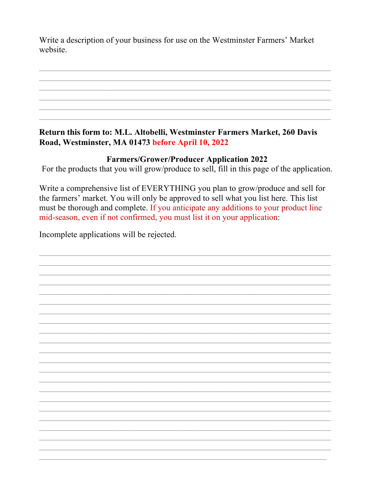Write a description of your business for use on the Westminster Farmers' Market website.

Return this form to: M.L. Altobelli, Westminster Farmers Market, 260 Davis Road, Westminster, MA 01473 before April 10, 2022

## **Farmers/Grower/Producer Application 2022**

For the products that you will grow/produce to sell, fill in this page of the application.

Write a comprehensive list of EVERYTHING you plan to grow/produce and sell for the farmers' market. You will only be approved to sell what you list here. This list must be thorough and complete. If you anticipate any additions to your product line mid-season, even if not confirmed, you must list it on your application:

Incomplete applications will be rejected.